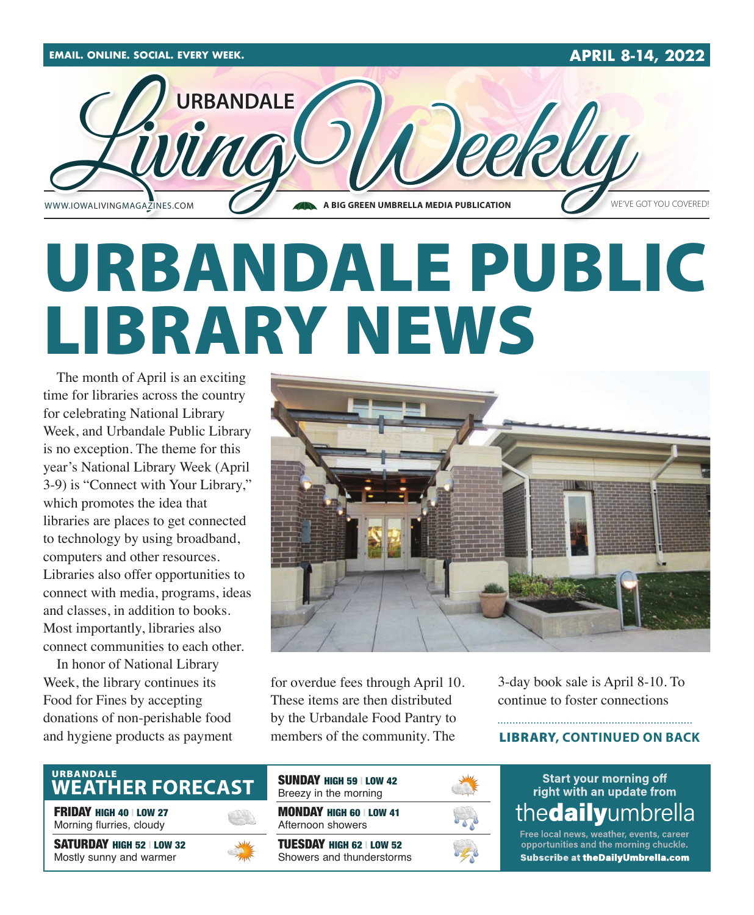

# URBANDALE PUBLIC LIBRARY NEWS

The month of April is an exciting time for libraries across the country for celebrating National Library Week, and Urbandale Public Library is no exception. The theme for this year's National Library Week (April 3-9) is "Connect with Your Library," which promotes the idea that libraries are places to get connected to technology by using broadband, computers and other resources. Libraries also offer opportunities to connect with media, programs, ideas and classes, in addition to books. Most importantly, libraries also connect communities to each other.

In honor of National Library Week, the library continues its Food for Fines by accepting donations of non-perishable food and hygiene products as payment



for overdue fees through April 10. These items are then distributed by the Urbandale Food Pantry to members of the community. The

3-day book sale is April 8-10. To continue to foster connections

### LIBRARY**, CONTINUED ON BACK**

# URBANDALE<br>WEATHER FORECAST

FRIDAY HIGH 40 | LOW 27 Morning flurries, cloudy

SATURDAY HIGH 52 | LOW 32 Mostly sunny and warmer



| <b>SUNDAY HIGH 59   LOW 42</b><br>Breezy in the morning |  |
|---------------------------------------------------------|--|
| <b>MONDAY HIGH 60   LOW 41</b><br>Afternoon showers     |  |
| TUESDAY HIGH 62   LOW 52<br>Showers and thunderstorms   |  |

**Start your morning off** right with an update from thedailyumbrella

Free local news, weather, events, career opportunities and the morning chuckle. **Subscribe at theDailyUmbrella.com**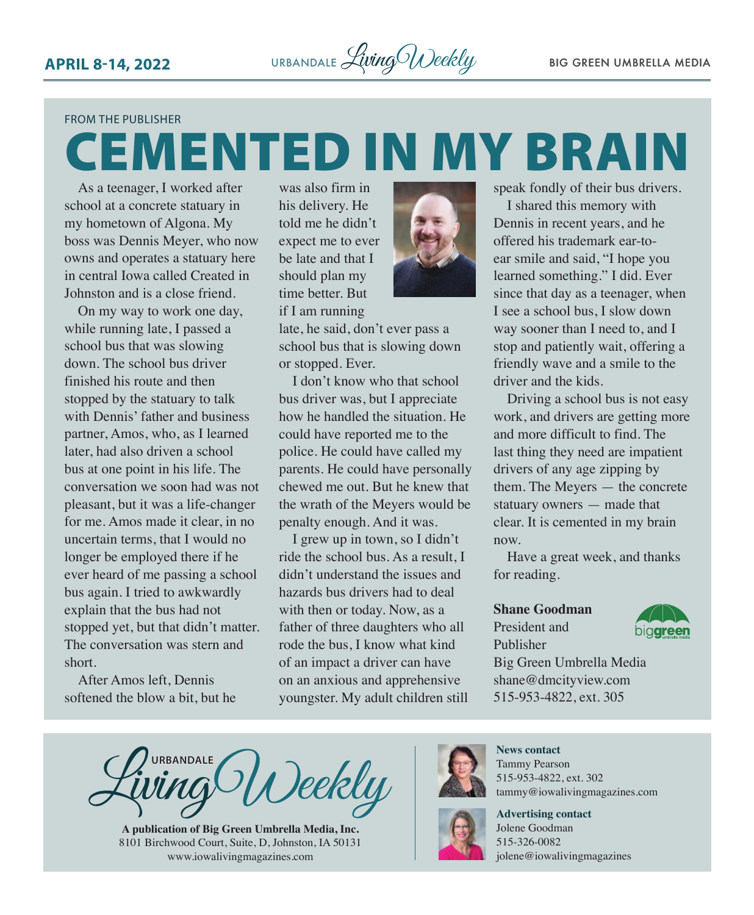### FROM THE PUBLISHER

# CEMENTED IN MY BRAIN

As a teenager, I worked after school at a concrete statuary in my hometown of Algona. My boss was Dennis Meyer, who now owns and operates a statuary here in central Iowa called Created in Johnston and is a close friend.

On my way to work one day, while running late, I passed a school bus that was slowing down. The school bus driver finished his route and then stopped by the statuary to talk with Dennis' father and business partner, Amos, who, as I learned later, had also driven a school bus at one point in his life. The conversation we soon had was not pleasant, but it was a life-changer for me. Amos made it clear, in no uncertain terms, that I would no longer be employed there if he ever heard of me passing a school bus again. I tried to awkwardly explain that the bus had not stopped yet, but that didn't matter. The conversation was stern and short.

After Amos left, Dennis softened the blow a bit, but he was also firm in his delivery. He told me he didn't expect me to ever be late and that I should plan my time better. But

if I am running

late, he said, don't ever pass a school bus that is slowing down or stopped. Ever.

I don't know who that school bus driver was, but I appreciate how he handled the situation. He could have reported me to the police. He could have called my parents. He could have personally chewed me out. But he knew that the wrath of the Meyers would be penalty enough. And it was.

I grew up in town, so I didn't ride the school bus. As a result, I didn't understand the issues and hazards bus drivers had to deal with then or today. Now, as a father of three daughters who all rode the bus, I know what kind of an impact a driver can have on an anxious and apprehensive youngster. My adult children still



I shared this memory with Dennis in recent years, and he offered his trademark ear-toear smile and said, "I hope you learned something." I did. Ever since that day as a teenager, when I see a school bus, I slow down way sooner than I need to, and I stop and patiently wait, offering a friendly wave and a smile to the driver and the kids.

Driving a school bus is not easy work, and drivers are getting more and more difficult to find. The last thing they need are impatient drivers of any age zipping by them. The Meyers — the concrete statuary owners — made that clear. It is cemented in my brain now.

Have a great week, and thanks for reading.

### **Shane Goodman**

### President and Publisher



Big Green Umbrella Media shane@dmcityview.com 515-953-4822, ext. 305

**URBANDALE** Deekly

**A publication of Big Green Umbrella Media, Inc.** 8101 Birchwood Court, Suite, D, Johnston, IA 50131 [www.iowalivingmagazines.com](http://www.iowalivingmagazines.com)



**News contact** Tammy Pearson 515-953-4822, ext. 302 [tammy@iowalivingmagazines.com](mailto:tammy@iowalivingmagazines.com)

**Advertising contact** Jolene Goodman 515-326-0082 jolene@iowalivingmagazines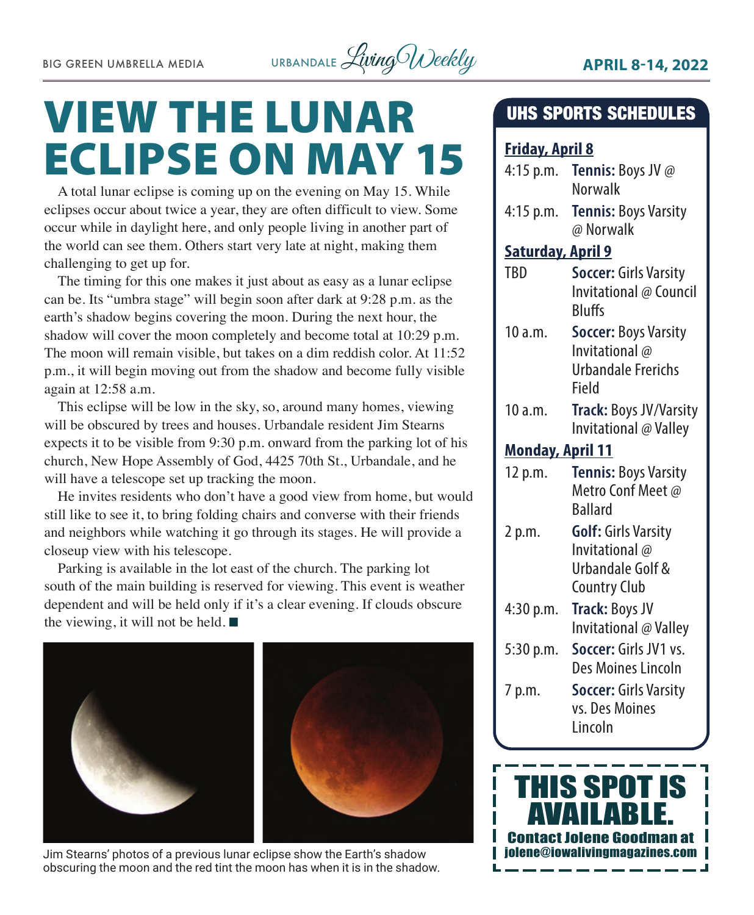

# VIEW THE LUNAR ECLIPSE ON MAY 15

A total lunar eclipse is coming up on the evening on May 15. While eclipses occur about twice a year, they are often difficult to view. Some occur while in daylight here, and only people living in another part of the world can see them. Others start very late at night, making them challenging to get up for.

The timing for this one makes it just about as easy as a lunar eclipse can be. Its "umbra stage" will begin soon after dark at 9:28 p.m. as the earth's shadow begins covering the moon. During the next hour, the shadow will cover the moon completely and become total at 10:29 p.m. The moon will remain visible, but takes on a dim reddish color. At 11:52 p.m., it will begin moving out from the shadow and become fully visible again at 12:58 a.m.

This eclipse will be low in the sky, so, around many homes, viewing will be obscured by trees and houses. Urbandale resident Jim Stearns expects it to be visible from 9:30 p.m. onward from the parking lot of his church, New Hope Assembly of God, 4425 70th St., Urbandale, and he will have a telescope set up tracking the moon.

He invites residents who don't have a good view from home, but would still like to see it, to bring folding chairs and converse with their friends and neighbors while watching it go through its stages. He will provide a closeup view with his telescope.

Parking is available in the lot east of the church. The parking lot south of the main building is reserved for viewing. This event is weather dependent and will be held only if it's a clear evening. If clouds obscure the viewing, it will not be held.  $\blacksquare$ 



Jim Stearns' photos of a previous lunar eclipse show the Earth's shadow obscuring the moon and the red tint the moon has when it is in the shadow.

# UHS SPORTS SCHEDULES

# **Friday, April 8**

| $4:15$ p.m.              | <b>Tennis:</b> Boys JV @<br>Norwalk      |  |
|--------------------------|------------------------------------------|--|
| $4:15$ p.m.              | <b>Tennis: Boys Varsity</b><br>@ Norwalk |  |
| <b>Saturday, April 9</b> |                                          |  |
| TBD                      | <b>Soccer: Girls Varsity</b>             |  |
|                          | Invitational @ Council<br><b>Bluffs</b>  |  |
| 10 a.m.                  | <b>Soccer: Boys Varsity</b>              |  |
|                          | Invitational @                           |  |
|                          | Urbandale Frerichs                       |  |
|                          | Field                                    |  |
| 10 a.m.                  | <b>Track: Boys JV/Varsity</b>            |  |
|                          | Invitational @ Valley                    |  |
| <b>Monday, April 11</b>  |                                          |  |
| 12 p.m.                  | <b>Tennis: Boys Varsity</b>              |  |
|                          | Metro Conf Meet @                        |  |
|                          | <b>Ballard</b>                           |  |
| 2 p.m.                   | <b>Golf: Girls Varsity</b>               |  |
|                          | Invitational @                           |  |
|                          | Urbandale Golf &                         |  |
|                          | <b>Country Club</b>                      |  |
| 4:30 p.m.                | Track: Boys JV                           |  |
|                          | Invitational @ Valley                    |  |
| 5:30 p.m.                | Soccer: Girls JV1 vs.                    |  |
|                          | Des Moines Lincoln                       |  |
| 7 p.m.                   | <b>Soccer: Girls Varsity</b>             |  |
|                          | vs. Des Moines                           |  |
|                          | Lincoln                                  |  |

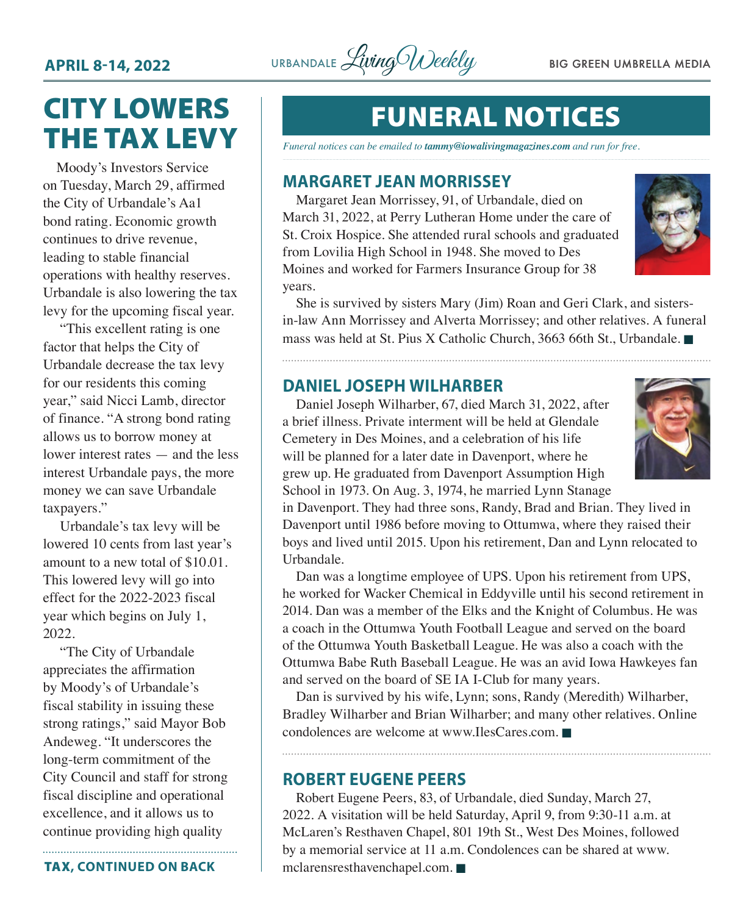

# CITY LOWERS THE TAX LEVY

Moody's Investors Service on Tuesday, March 29, affirmed the City of Urbandale's Aa1 bond rating. Economic growth continues to drive revenue, leading to stable financial operations with healthy reserves. Urbandale is also lowering the tax levy for the upcoming fiscal year.

"This excellent rating is one factor that helps the City of Urbandale decrease the tax levy for our residents this coming year," said Nicci Lamb, director of finance. "A strong bond rating allows us to borrow money at lower interest rates — and the less interest Urbandale pays, the more money we can save Urbandale taxpayers."

Urbandale's tax levy will be lowered 10 cents from last year's amount to a new total of \$10.01. This lowered levy will go into effect for the 2022-2023 fiscal year which begins on July 1, 2022.

"The City of Urbandale appreciates the affirmation by Moody's of Urbandale's fiscal stability in issuing these strong ratings," said Mayor Bob Andeweg. "It underscores the long-term commitment of the City Council and staff for strong fiscal discipline and operational excellence, and it allows us to continue providing high quality

TAX**, CONTINUED ON BACK**

# FUNERAL NOTICES

*Funeral notices can be emailed to tammy@iowalivingmagazines.com and run for free.*

## **MARGARET JEAN MORRISSEY**

Margaret Jean Morrissey, 91, of Urbandale, died on March 31, 2022, at Perry Lutheran Home under the care of St. Croix Hospice. She attended rural schools and graduated from Lovilia High School in 1948. She moved to Des Moines and worked for Farmers Insurance Group for 38 years.



She is survived by sisters Mary (Jim) Roan and Geri Clark, and sistersin-law Ann Morrissey and Alverta Morrissey; and other relatives. A funeral mass was held at St. Pius X Catholic Church, 3663 66th St., Urbandale.

## **DANIEL JOSEPH WILHARBER**



Daniel Joseph Wilharber, 67, died March 31, 2022, after a brief illness. Private interment will be held at Glendale Cemetery in Des Moines, and a celebration of his life will be planned for a later date in Davenport, where he grew up. He graduated from Davenport Assumption High School in 1973. On Aug. 3, 1974, he married Lynn Stanage

in Davenport. They had three sons, Randy, Brad and Brian. They lived in Davenport until 1986 before moving to Ottumwa, where they raised their boys and lived until 2015. Upon his retirement, Dan and Lynn relocated to Urbandale.

Dan was a longtime employee of UPS. Upon his retirement from UPS, he worked for Wacker Chemical in Eddyville until his second retirement in 2014. Dan was a member of the Elks and the Knight of Columbus. He was a coach in the Ottumwa Youth Football League and served on the board of the Ottumwa Youth Basketball League. He was also a coach with the Ottumwa Babe Ruth Baseball League. He was an avid Iowa Hawkeyes fan and served on the board of SE IA I-Club for many years.

Dan is survived by his wife, Lynn; sons, Randy (Meredith) Wilharber, Bradley Wilharber and Brian Wilharber; and many other relatives. Online condolences are welcome at [www.IlesCares.com](http://www.IlesCares.com).  $\blacksquare$ 

## **ROBERT EUGENE PEERS**

Robert Eugene Peers, 83, of Urbandale, died Sunday, March 27, 2022. A visitation will be held Saturday, April 9, from 9:30-11 a.m. at McLaren's Resthaven Chapel, 801 19th St., West Des Moines, followed by a memorial service at 11 a.m. Condolences can be shared at [www.](http://www.mclarensresthavenchapel.com)  $m$ clarensresthavenchapel.com.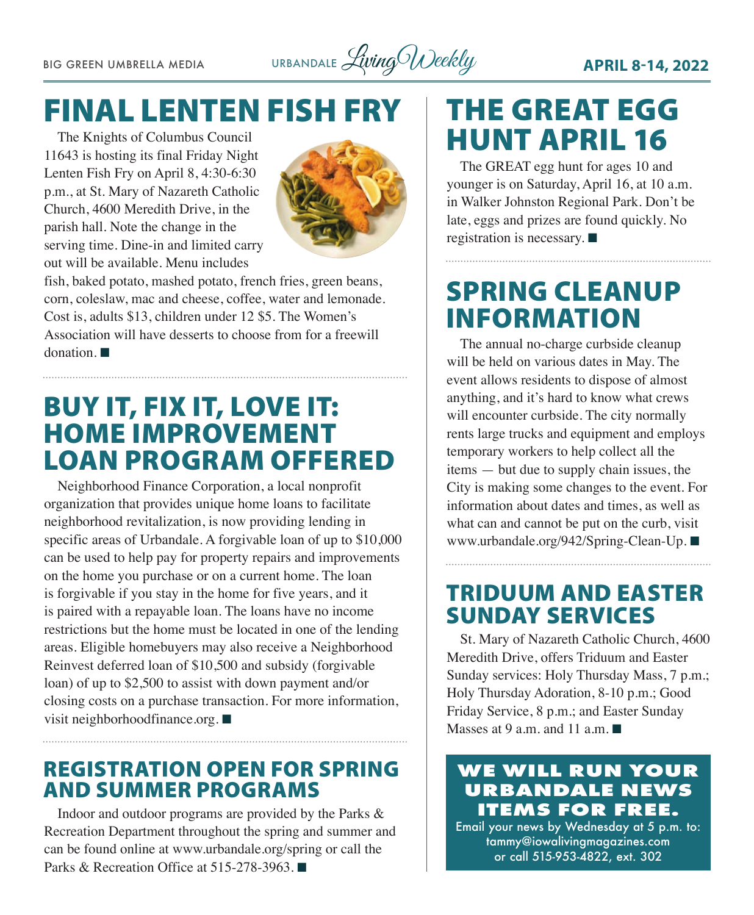BIG GREEN UMBRELLA MEDIA URBANDALE *Living Weekly* **APRIL 8-14, 2022** 

# FINAL LENTEN FISH FRY

The Knights of Columbus Council 11643 is hosting its final Friday Night Lenten Fish Fry on April 8, 4:30-6:30 p.m., at St. Mary of Nazareth Catholic Church, 4600 Meredith Drive, in the parish hall. Note the change in the serving time. Dine-in and limited carry out will be available. Menu includes



fish, baked potato, mashed potato, french fries, green beans, corn, coleslaw, mac and cheese, coffee, water and lemonade. Cost is, adults \$13, children under 12 \$5. The Women's Association will have desserts to choose from for a freewill  $donation.$ 

# BUY IT, FIX IT, LOVE IT: HOME IMPROVEMENT LOAN PROGRAM OFFERED

Neighborhood Finance Corporation, a local nonprofit organization that provides unique home loans to facilitate neighborhood revitalization, is now providing lending in specific areas of Urbandale. A forgivable loan of up to \$10,000 can be used to help pay for property repairs and improvements on the home you purchase or on a current home. The loan is forgivable if you stay in the home for five years, and it is paired with a repayable loan. The loans have no income restrictions but the home must be located in one of the lending areas. Eligible homebuyers may also receive a Neighborhood Reinvest deferred loan of \$10,500 and subsidy (forgivable loan) of up to \$2,500 to assist with down payment and/or closing costs on a purchase transaction. For more information, visit [neighborhoodfinance.org.](http://neighborhoodfinance.org)  $\blacksquare$ 

# REGISTRATION OPEN FOR SPRING AND SUMMER PROGRAMS

Indoor and outdoor programs are provided by the Parks & Recreation Department throughout the spring and summer and can be found online at [www.urbandale.org/spring](http://www.urbandale.org/spring) or call the Parks & Recreation Office at  $515-278-3963$ .

# THE GREAT EGG HUNT APRIL 16

The GREAT egg hunt for ages 10 and younger is on Saturday, April 16, at 10 a.m. in Walker Johnston Regional Park. Don't be late, eggs and prizes are found quickly. No registration is necessary.  $\blacksquare$ 

# SPRING CLEANUP INFORMATION

The annual no-charge curbside cleanup will be held on various dates in May. The event allows residents to dispose of almost anything, and it's hard to know what crews will encounter curbside. The city normally rents large trucks and equipment and employs temporary workers to help collect all the items — but due to supply chain issues, the City is making some changes to the event. For information about dates and times, as well as what can and cannot be put on the curb, visit [www.urbandale.org/942/Spring-Clean-Up.](http://www.urbandale.org/942/Spring-Clean-Up) ■

# TRIDUUM AND EASTER SUNDAY SERVICES

St. Mary of Nazareth Catholic Church, 4600 Meredith Drive, offers Triduum and Easter Sunday services: Holy Thursday Mass, 7 p.m.; Holy Thursday Adoration, 8-10 p.m.; Good Friday Service, 8 p.m.; and Easter Sunday Masses at 9 a.m. and 11 a.m.

# **WE WILL RUN YOUR URBANDALE NEWS ITEMS FOR FREE.**

Email your news by Wednesday at 5 p.m. to: [tammy@iowalivingmagazines.com](mailto:tammy@iowalivingmagazines.com) or call 515-953-4822, ext. 302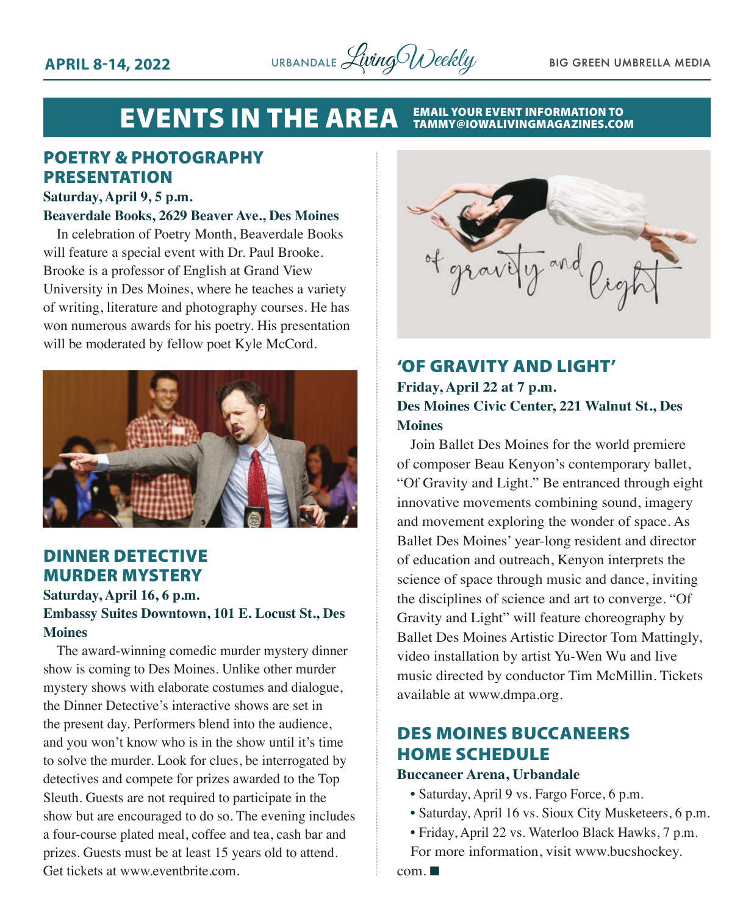

### **EVENTS IN THE AREA EMAIL YOUR EVENT INFORMATION TO<br>TAMMY@IOWALIVINGMAGAZINES.COM**

# POETRY & PHOTOGRAPHY PRESENTATION

### **Saturday, April 9, 5 p.m.**

### **Beaverdale Books, 2629 Beaver Ave., Des Moines**

In celebration of Poetry Month, Beaverdale Books will feature a special event with Dr. Paul Brooke. Brooke is a professor of English at Grand View University in Des Moines, where he teaches a variety of writing, literature and photography courses. He has won numerous awards for his poetry. His presentation will be moderated by fellow poet Kyle McCord.



# DINNER DETECTIVE MURDER MYSTERY

**Saturday, April 16, 6 p.m.**

## **Embassy Suites Downtown, 101 E. Locust St., Des Moines**

The award-winning comedic murder mystery dinner show is coming to Des Moines. Unlike other murder mystery shows with elaborate costumes and dialogue, the Dinner Detective's interactive shows are set in the present day. Performers blend into the audience, and you won't know who is in the show until it's time to solve the murder. Look for clues, be interrogated by detectives and compete for prizes awarded to the Top Sleuth. Guests are not required to participate in the show but are encouraged to do so. The evening includes a four-course plated meal, coffee and tea, cash bar and prizes. Guests must be at least 15 years old to attend. Get tickets at www.eventbrite.com.



# 'OF GRAVITY AND LIGHT' **Friday, April 22 at 7 p.m. Des Moines Civic Center, 221 Walnut St., Des Moines**

Join Ballet Des Moines for the world premiere of composer Beau Kenyon's contemporary ballet, "Of Gravity and Light." Be entranced through eight innovative movements combining sound, imagery and movement exploring the wonder of space. As Ballet Des Moines' year-long resident and director of education and outreach, Kenyon interprets the science of space through music and dance, inviting the disciplines of science and art to converge. "Of Gravity and Light" will feature choreography by Ballet Des Moines Artistic Director Tom Mattingly, video installation by artist Yu-Wen Wu and live music directed by conductor Tim McMillin. Tickets available at www.dmpa.org.

# DES MOINES BUCCANEERS HOME SCHEDULE

### **Buccaneer Arena, Urbandale**

- Saturday, April 9 vs. Fargo Force, 6 p.m.
- Saturday, April 16 vs. Sioux City Musketeers, 6 p.m.
- Friday, April 22 vs. Waterloo Black Hawks, 7 p.m. For more information, visit www.bucshockey.

 $com. \blacksquare$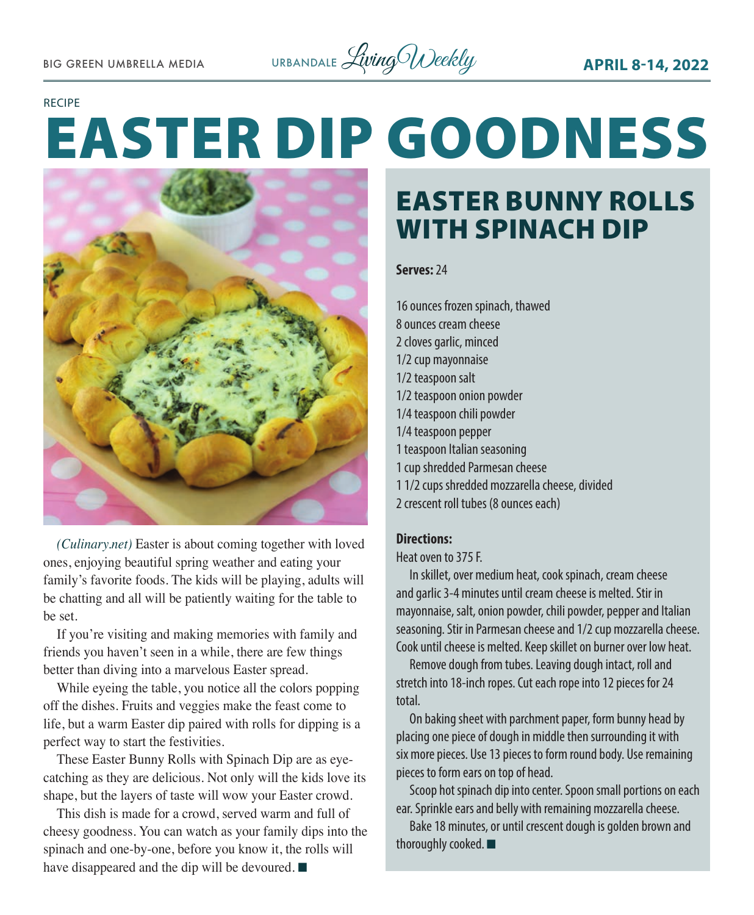

### RECIPE

# EASTER DIP GOODNESS



*(Culinary.net)* Easter is about coming together with loved ones, enjoying beautiful spring weather and eating your family's favorite foods. The kids will be playing, adults will be chatting and all will be patiently waiting for the table to be set.

If you're visiting and making memories with family and friends you haven't seen in a while, there are few things better than diving into a marvelous Easter spread.

While eyeing the table, you notice all the colors popping off the dishes. Fruits and veggies make the feast come to life, but a warm Easter dip paired with rolls for dipping is a perfect way to start the festivities.

These Easter Bunny Rolls with Spinach Dip are as eyecatching as they are delicious. Not only will the kids love its shape, but the layers of taste will wow your Easter crowd.

This dish is made for a crowd, served warm and full of cheesy goodness. You can watch as your family dips into the spinach and one-by-one, before you know it, the rolls will have disappeared and the dip will be devoured.  $\blacksquare$ 

# EASTER BUNNY ROLLS WITH SPINACH DIP

### **Serves:** 24

16 ounces frozen spinach, thawed 8 ounces cream cheese 2 cloves garlic, minced 1/2 cup mayonnaise 1/2 teaspoon salt 1/2 teaspoon onion powder 1/4 teaspoon chili powder 1/4 teaspoon pepper 1 teaspoon Italian seasoning 1 cup shredded Parmesan cheese 1 1/2 cups shredded mozzarella cheese, divided 2 crescent roll tubes (8 ounces each)

# **Directions:**

Heat oven to 375 F.

In skillet, over medium heat, cook spinach, cream cheese and garlic 3-4 minutes until cream cheese is melted. Stir in mayonnaise, salt, onion powder, chili powder, pepper and Italian seasoning. Stir in Parmesan cheese and 1/2 cup mozzarella cheese. Cook until cheese is melted. Keep skillet on burner over low heat.

Remove dough from tubes. Leaving dough intact, roll and stretch into 18-inch ropes. Cut each rope into 12 pieces for 24 total.

On baking sheet with parchment paper, form bunny head by placing one piece of dough in middle then surrounding it with six more pieces. Use 13 pieces to form round body. Use remaining pieces to form ears on top of head.

Scoop hot spinach dip into center. Spoon small portions on each ear. Sprinkle ears and belly with remaining mozzarella cheese.

Bake 18 minutes, or until crescent dough is golden brown and thoroughly cooked.  $\blacksquare$